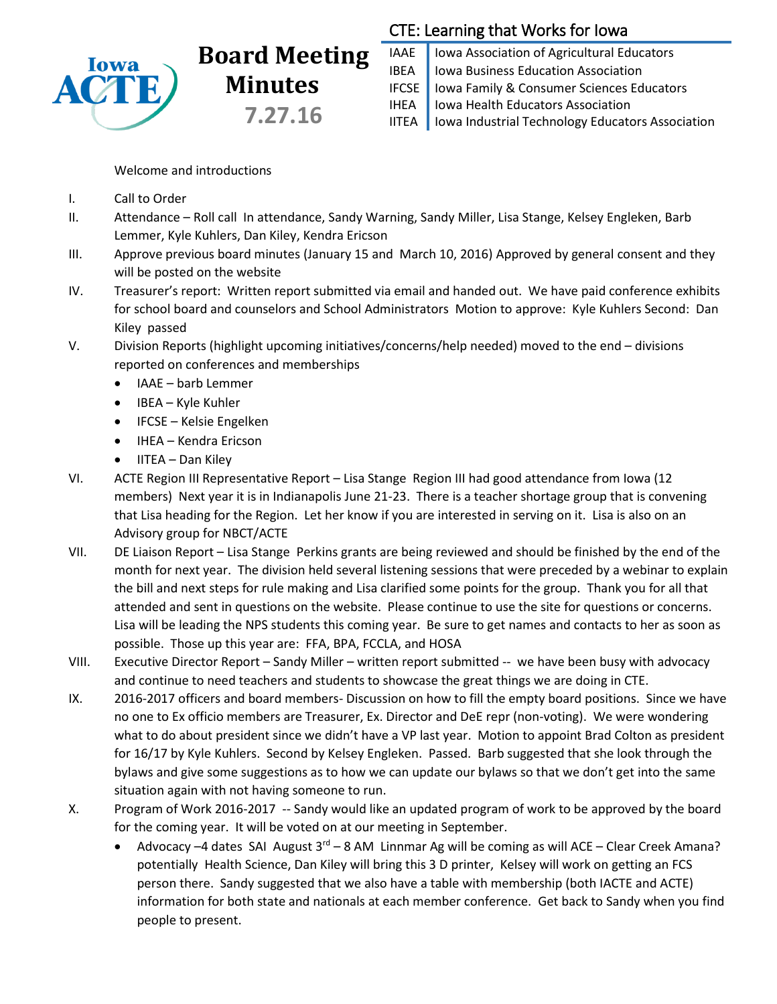

## **Board Meeting Minutes 7.27.16**

## CTE: Learning that Works for Iowa

IAAE | Iowa Association of Agricultural Educators IBEA | Iowa Business Education Association IFCSE Iowa Family & Consumer Sciences Educators IHEA | Iowa Health Educators Association IITEA | Iowa Industrial Technology Educators Association

Welcome and introductions

- I. Call to Order
- II. Attendance Roll call In attendance, Sandy Warning, Sandy Miller, Lisa Stange, Kelsey Engleken, Barb Lemmer, Kyle Kuhlers, Dan Kiley, Kendra Ericson
- III. Approve previous board minutes (January 15 and March 10, 2016) Approved by general consent and they will be posted on the website
- IV. Treasurer's report: Written report submitted via email and handed out. We have paid conference exhibits for school board and counselors and School Administrators Motion to approve: Kyle Kuhlers Second: Dan Kiley passed
- V. Division Reports (highlight upcoming initiatives/concerns/help needed) moved to the end divisions reported on conferences and memberships
	- IAAE barb Lemmer
	- IBEA Kyle Kuhler
	- IFCSE Kelsie Engelken
	- IHEA Kendra Ericson
	- $\bullet$  IITEA Dan Kiley
- VI. ACTE Region III Representative Report Lisa Stange Region III had good attendance from Iowa (12 members) Next year it is in Indianapolis June 21-23. There is a teacher shortage group that is convening that Lisa heading for the Region. Let her know if you are interested in serving on it. Lisa is also on an Advisory group for NBCT/ACTE
- VII. DE Liaison Report Lisa Stange Perkins grants are being reviewed and should be finished by the end of the month for next year. The division held several listening sessions that were preceded by a webinar to explain the bill and next steps for rule making and Lisa clarified some points for the group. Thank you for all that attended and sent in questions on the website. Please continue to use the site for questions or concerns. Lisa will be leading the NPS students this coming year. Be sure to get names and contacts to her as soon as possible. Those up this year are: FFA, BPA, FCCLA, and HOSA
- VIII. Executive Director Report Sandy Miller written report submitted -- we have been busy with advocacy and continue to need teachers and students to showcase the great things we are doing in CTE.
- IX. 2016-2017 officers and board members- Discussion on how to fill the empty board positions. Since we have no one to Ex officio members are Treasurer, Ex. Director and DeE repr (non-voting). We were wondering what to do about president since we didn't have a VP last year. Motion to appoint Brad Colton as president for 16/17 by Kyle Kuhlers. Second by Kelsey Engleken. Passed. Barb suggested that she look through the bylaws and give some suggestions as to how we can update our bylaws so that we don't get into the same situation again with not having someone to run.
- X. Program of Work 2016-2017 -- Sandy would like an updated program of work to be approved by the board for the coming year. It will be voted on at our meeting in September.
	- Advocacy –4 dates SAI August  $3^{rd}$  8 AM Linnmar Ag will be coming as will ACE Clear Creek Amana? potentially Health Science, Dan Kiley will bring this 3 D printer, Kelsey will work on getting an FCS person there. Sandy suggested that we also have a table with membership (both IACTE and ACTE) information for both state and nationals at each member conference. Get back to Sandy when you find people to present.